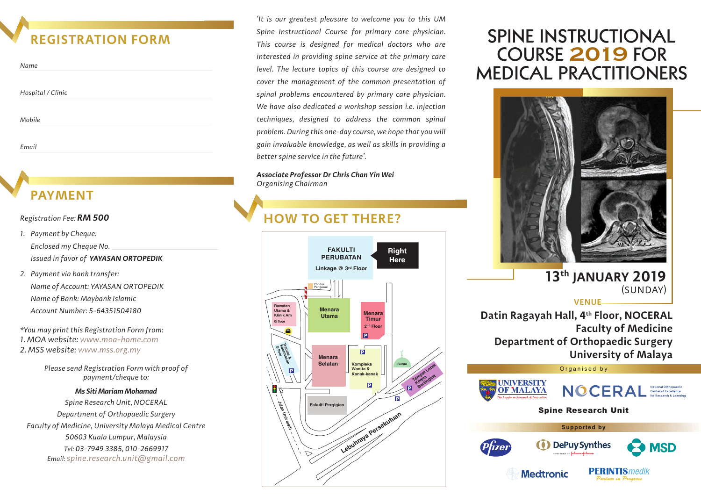## **REGISTRATION FORM**

| Name              |  |
|-------------------|--|
| Hospital / Clinic |  |
| Mobile            |  |

*Email*

# **PAYMENT**

### *Registration Fee: RM 500*

- *1. Payment by Cheque: Enclosed my Cheque No. Issued in favor of YAYASAN ORTOPEDIK*
- *2. Payment via bank transfer: Name of Account: YAYASAN ORTOPEDIK Name of Bank: Maybank Islamic Account Number: 5-64351504180*

*\*You may print this Registration Form from: 1. MOA website: www.moa-home.com 2. MSS website: www.mss.org.my* 

> *Please send Registration Form with proof of payment/cheque to:*

### *Ms Siti Mariam Mohamad*

*Spine Research Unit, NOCERAL Department of Orthopaedic Surgery Faculty of Medicine, University Malaya Medical Centre 50603 Kuala Lumpur, Malaysia Tel: 03-7949 3385, 010-2669917 Email: spine.research.unit@gmail.com*

*'It is our greatest pleasure to welcome you to this UM Spine Instructional Course for primary care physician. This course is designed for medical doctors who are interested in providing spine service at the primary care level. The lecture topics of this course are designed to cover the management of the common presentation of spinal problems encountered by primary care physician. We have also dedicated a workshop session i.e. injection techniques, designed to address the common spinal problem. During this one-day course, we hope that you will gain invaluable knowledge, as well as skills in providing a better spine service in the future'.*

*Associate Professor Dr Chris Chan Yin Wei Organising Chairman*

# **HOW TO GET THERE?**



# MEDICAL PRACTITIONERS SPINE INSTRUCTIONAL COURSE **2019** FOR



### **13th JANUARY 2019** (SUNDAY)

**VENUE**

**Datin Ragayah Hall, 4th Floor, NOCERAL Faculty of Medicine Department of Orthopaedic Surgery University of Malaya**





ntuon in Danono



Organised by



**Medtronic**